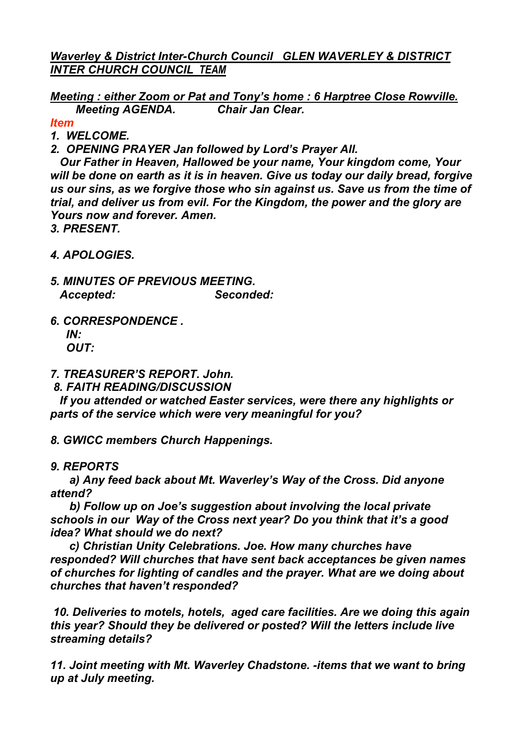*Waverley & District Inter-Church Council GLEN WAVERLEY & DISTRICT INTER CHURCH COUNCIL TEAM*

*Meeting : either Zoom or Pat and Tony's home : 6 Harptree Close Rowville. Meeting AGENDA. Chair Jan Clear.*

*Item*

- *1. WELCOME.*
- *2. OPENING PRAYER Jan followed by Lord's Prayer All.*

 *Our Father in Heaven, Hallowed be your name, Your kingdom come, Your will be done on earth as it is in heaven. Give us today our daily bread, forgive us our sins, as we forgive those who sin against us. Save us from the time of trial, and deliver us from evil. For the Kingdom, the power and the glory are Yours now and forever. Amen.*

*3. PRESENT.*

- *4. APOLOGIES.*
- *5. MINUTES OF PREVIOUS MEETING. Accepted: Seconded:*
- *6. CORRESPONDENCE .*

 *IN: OUT:*

*7. TREASURER'S REPORT. John.*

*8. FAITH READING/DISCUSSION*

 *If you attended or watched Easter services, were there any highlights or parts of the service which were very meaningful for you?*

*8. GWICC members Church Happenings.*

*9. REPORTS*

 *a) Any feed back about Mt. Waverley's Way of the Cross. Did anyone attend?*

 *b) Follow up on Joe's suggestion about involving the local private schools in our Way of the Cross next year? Do you think that it's a good idea? What should we do next?*

 *c) Christian Unity Celebrations. Joe. How many churches have responded? Will churches that have sent back acceptances be given names of churches for lighting of candles and the prayer. What are we doing about churches that haven't responded?*

*10. Deliveries to motels, hotels, aged care facilities. Are we doing this again this year? Should they be delivered or posted? Will the letters include live streaming details?*

*11. Joint meeting with Mt. Waverley Chadstone. -items that we want to bring up at July meeting.*